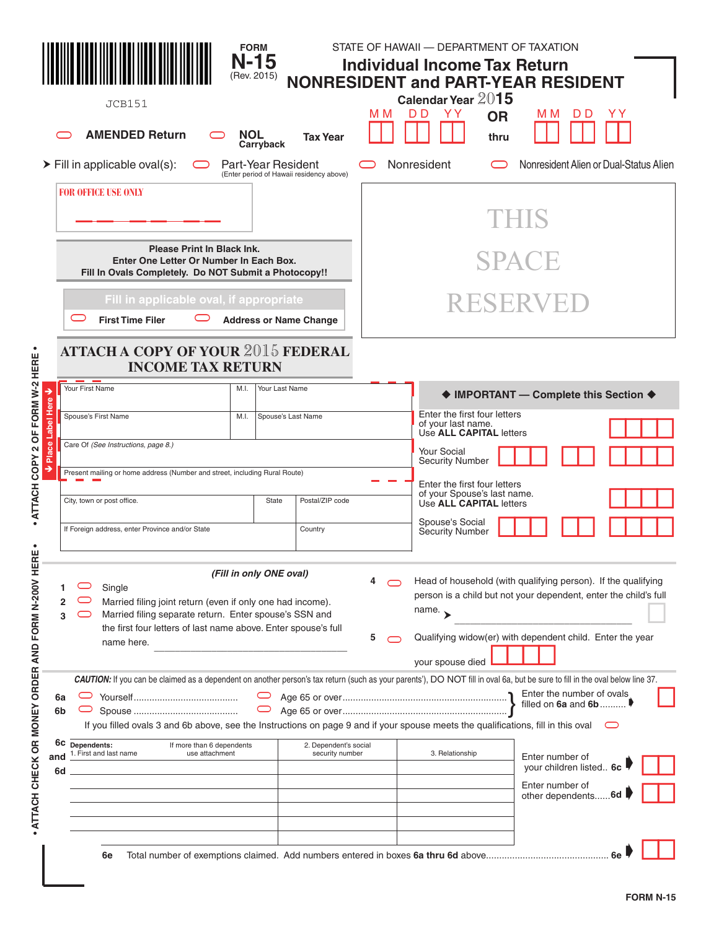|                                                 | JCB151<br><b>AMENDED Return</b>                                                                                                                                                                                                                | <b>FORM</b><br>$N-15$<br>(Rev. 2015)<br>NOL<br>Carryback       | <b>Tax Year</b>                                                                                                                                                                                                       | ΜМ                                                     | STATE OF HAWAII - DEPARTMENT OF TAXATION<br><b>Individual Income Tax Return</b><br><b>NONRESIDENT and PART-YEAR RESIDENT</b><br>Calendar Year 2015<br>D D<br>YY Y | <b>OR</b><br>thru | M M                                    | D D | ΥY |  |
|-------------------------------------------------|------------------------------------------------------------------------------------------------------------------------------------------------------------------------------------------------------------------------------------------------|----------------------------------------------------------------|-----------------------------------------------------------------------------------------------------------------------------------------------------------------------------------------------------------------------|--------------------------------------------------------|-------------------------------------------------------------------------------------------------------------------------------------------------------------------|-------------------|----------------------------------------|-----|----|--|
|                                                 | $\triangleright$ Fill in applicable oval(s):                                                                                                                                                                                                   | Part-Year Resident<br>(Enter period of Hawaii residency above) |                                                                                                                                                                                                                       |                                                        | Nonresident                                                                                                                                                       |                   | Nonresident Alien or Dual-Status Alien |     |    |  |
|                                                 | <b>FOR OFFICE USE ONLY</b>                                                                                                                                                                                                                     |                                                                |                                                                                                                                                                                                                       |                                                        |                                                                                                                                                                   |                   | THIS                                   |     |    |  |
|                                                 | <b>Please Print In Black Ink.</b><br>Enter One Letter Or Number In Each Box.<br>Fill In Ovals Completely. Do NOT Submit a Photocopy!!                                                                                                          |                                                                |                                                                                                                                                                                                                       |                                                        |                                                                                                                                                                   |                   | <b>SPACE</b>                           |     |    |  |
|                                                 | Fill in applicable oval, if appropriate<br><b>First Time Filer</b>                                                                                                                                                                             | <b>Address or Name Change</b>                                  |                                                                                                                                                                                                                       |                                                        |                                                                                                                                                                   |                   | RESERVED                               |     |    |  |
| 2 OF FORM W-2 HERE                              | <b>ATTACH A COPY OF YOUR 2015 FEDERAL</b><br><b>INCOME TAX RETURN</b>                                                                                                                                                                          |                                                                |                                                                                                                                                                                                                       |                                                        |                                                                                                                                                                   |                   |                                        |     |    |  |
| ∍                                               | Your First Name                                                                                                                                                                                                                                | M.I.<br>Your Last Name                                         |                                                                                                                                                                                                                       |                                                        |                                                                                                                                                                   |                   | ♦ IMPORTANT - Complete this Section ♦  |     |    |  |
| <b>Label Here</b>                               | Spouse's First Name                                                                                                                                                                                                                            | Spouse's Last Name<br>M.I.                                     |                                                                                                                                                                                                                       |                                                        | Enter the first four letters<br>of your last name.<br>Use ALL CAPITAL letters                                                                                     |                   |                                        |     |    |  |
| 8<br>Pla                                        | Care Of (See Instructions, page 8.)                                                                                                                                                                                                            |                                                                |                                                                                                                                                                                                                       |                                                        | <b>Your Social</b><br><b>Security Number</b>                                                                                                                      |                   |                                        |     |    |  |
| ATTACH COPY<br>→                                | Present mailing or home address (Number and street, including Rural Route)                                                                                                                                                                     |                                                                | Enter the first four letters                                                                                                                                                                                          |                                                        |                                                                                                                                                                   |                   |                                        |     |    |  |
|                                                 | City, town or post office.                                                                                                                                                                                                                     | Postal/ZIP code                                                |                                                                                                                                                                                                                       | of your Spouse's last name.<br>Use ALL CAPITAL letters |                                                                                                                                                                   |                   |                                        |     |    |  |
| $\bullet$<br>٠<br>ш                             | If Foreign address, enter Province and/or State                                                                                                                                                                                                | Country                                                        |                                                                                                                                                                                                                       | Spouse's Social<br><b>Security Number</b>              |                                                                                                                                                                   |                   |                                        |     |    |  |
| ATTACH CHECK OR MONEY ORDER AND FORM N-200V HER | (Fill in only ONE oval)<br>Single<br>Married filing joint return (even if only one had income).<br>Married filing separate return. Enter spouse's SSN and<br>3<br>the first four letters of last name above. Enter spouse's full<br>name here. | 5                                                              | Head of household (with qualifying person). If the qualifying<br>person is a child but not your dependent, enter the child's full<br>name. $\rightarrow$<br>Qualifying widow(er) with dependent child. Enter the year |                                                        |                                                                                                                                                                   |                   |                                        |     |    |  |
| 6а<br>6b                                        | CAUTION: If you can be claimed as a dependent on another person's tax return (such as your parents'), DO NOT fill in oval 6a, but be sure to fill in the oval below line 37.                                                                   |                                                                | your spouse died                                                                                                                                                                                                      |                                                        | Enter the number of ovals<br>filled on $6a$ and $6b$                                                                                                              |                   |                                        |     |    |  |
| and<br>6d                                       | If you filled ovals 3 and 6b above, see the Instructions on page 9 and if your spouse meets the qualifications, fill in this oval<br>6C Dependents:<br>If more than 6 dependents<br>1. First and last name<br>use attachment                   | 2. Dependent's social<br>security number                       |                                                                                                                                                                                                                       | 3. Relationship                                        | Enter number of<br>your children listed 6c                                                                                                                        |                   |                                        |     |    |  |
|                                                 |                                                                                                                                                                                                                                                |                                                                |                                                                                                                                                                                                                       |                                                        |                                                                                                                                                                   |                   | Enter number of<br>other dependents 6d |     |    |  |
|                                                 | 6e                                                                                                                                                                                                                                             |                                                                |                                                                                                                                                                                                                       |                                                        |                                                                                                                                                                   |                   |                                        |     |    |  |

| <b>FORM N-15</b> |  |  |
|------------------|--|--|
|------------------|--|--|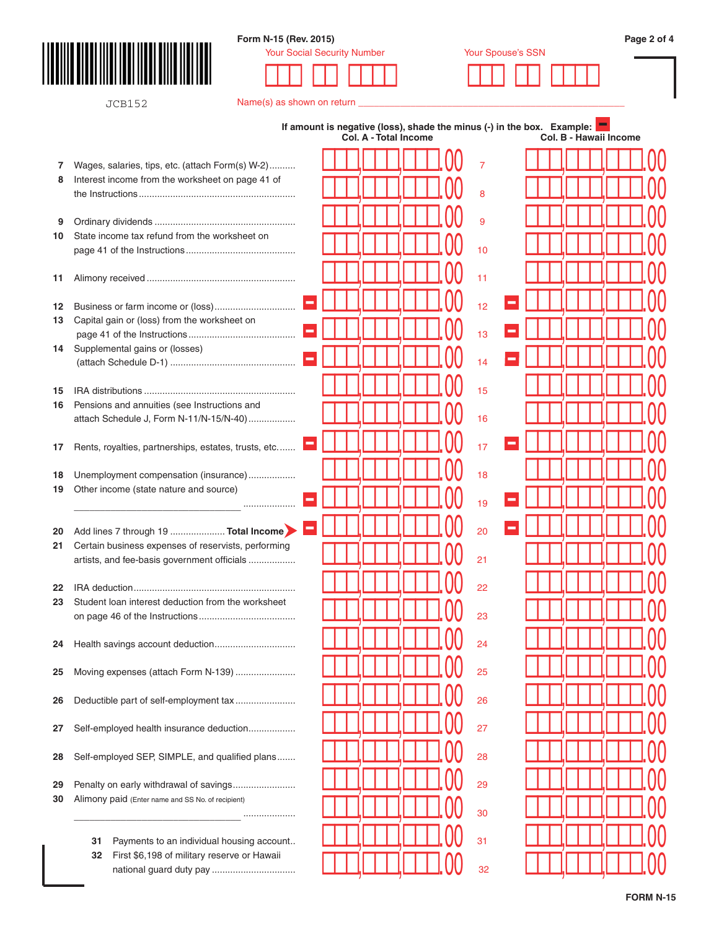

JCB152

## **Form N-15 (Rev. 2015) Page 2 of 4**



| Name(s) as shown on return |  |  |
|----------------------------|--|--|
|                            |  |  |

|          |                                                                                                      |        |  |  | Col. A - Total Income |  |  |    | If amount is negative (loss), shade the minus (-) in the box. Example: $\blacksquare$ |  |  |  | Col. B - Hawaii Income |  |
|----------|------------------------------------------------------------------------------------------------------|--------|--|--|-----------------------|--|--|----|---------------------------------------------------------------------------------------|--|--|--|------------------------|--|
|          |                                                                                                      |        |  |  |                       |  |  |    |                                                                                       |  |  |  |                        |  |
| 7<br>8   | Wages, salaries, tips, etc. (attach Form(s) W-2)<br>Interest income from the worksheet on page 41 of |        |  |  |                       |  |  | 7  |                                                                                       |  |  |  |                        |  |
|          |                                                                                                      |        |  |  |                       |  |  | 8  |                                                                                       |  |  |  |                        |  |
| 9        |                                                                                                      |        |  |  |                       |  |  | 9  |                                                                                       |  |  |  |                        |  |
| 10       | State income tax refund from the worksheet on                                                        |        |  |  |                       |  |  |    |                                                                                       |  |  |  |                        |  |
|          |                                                                                                      |        |  |  |                       |  |  | 10 |                                                                                       |  |  |  |                        |  |
| 11       |                                                                                                      |        |  |  |                       |  |  | 11 |                                                                                       |  |  |  |                        |  |
|          |                                                                                                      | p      |  |  |                       |  |  |    |                                                                                       |  |  |  |                        |  |
| 12<br>13 | Capital gain or (loss) from the worksheet on                                                         |        |  |  |                       |  |  | 12 |                                                                                       |  |  |  |                        |  |
|          |                                                                                                      | $\sim$ |  |  |                       |  |  | 13 |                                                                                       |  |  |  |                        |  |
| 14       | Supplemental gains or (losses)                                                                       | $\sim$ |  |  |                       |  |  | 14 |                                                                                       |  |  |  |                        |  |
|          |                                                                                                      |        |  |  |                       |  |  |    |                                                                                       |  |  |  |                        |  |
| 15       |                                                                                                      |        |  |  |                       |  |  | 15 |                                                                                       |  |  |  |                        |  |
| 16       | Pensions and annuities (see Instructions and<br>attach Schedule J, Form N-11/N-15/N-40)              |        |  |  |                       |  |  | 16 |                                                                                       |  |  |  |                        |  |
|          |                                                                                                      | $\sim$ |  |  |                       |  |  |    |                                                                                       |  |  |  |                        |  |
| 17       | Rents, royalties, partnerships, estates, trusts, etc                                                 |        |  |  |                       |  |  | 17 |                                                                                       |  |  |  |                        |  |
| 18       | Unemployment compensation (insurance)                                                                |        |  |  |                       |  |  | 18 |                                                                                       |  |  |  |                        |  |
| 19       | Other income (state nature and source)                                                               | $\sim$ |  |  |                       |  |  | 19 |                                                                                       |  |  |  |                        |  |
|          |                                                                                                      |        |  |  |                       |  |  |    |                                                                                       |  |  |  |                        |  |
| 20       | Add lines 7 through 19  Total Income                                                                 | ÷.     |  |  |                       |  |  | 20 |                                                                                       |  |  |  |                        |  |
| 21       | Certain business expenses of reservists, performing<br>artists, and fee-basis government officials   |        |  |  |                       |  |  | 21 |                                                                                       |  |  |  |                        |  |
|          |                                                                                                      |        |  |  |                       |  |  |    |                                                                                       |  |  |  |                        |  |
| 22<br>23 | Student loan interest deduction from the worksheet                                                   |        |  |  |                       |  |  | 22 |                                                                                       |  |  |  |                        |  |
|          |                                                                                                      |        |  |  |                       |  |  | 23 |                                                                                       |  |  |  |                        |  |
|          |                                                                                                      |        |  |  |                       |  |  | 24 |                                                                                       |  |  |  |                        |  |
| 24       |                                                                                                      |        |  |  |                       |  |  |    |                                                                                       |  |  |  |                        |  |
| 25       | Moving expenses (attach Form N-139)                                                                  |        |  |  |                       |  |  | 25 |                                                                                       |  |  |  |                        |  |
| 26       | Deductible part of self-employment tax                                                               |        |  |  |                       |  |  | 26 |                                                                                       |  |  |  |                        |  |
|          |                                                                                                      |        |  |  |                       |  |  |    |                                                                                       |  |  |  |                        |  |
| 27       | Self-employed health insurance deduction                                                             |        |  |  |                       |  |  | 27 |                                                                                       |  |  |  |                        |  |
| 28       | Self-employed SEP, SIMPLE, and qualified plans                                                       |        |  |  |                       |  |  | 28 |                                                                                       |  |  |  |                        |  |
|          |                                                                                                      |        |  |  |                       |  |  | 29 |                                                                                       |  |  |  |                        |  |
| 29<br>30 | Penalty on early withdrawal of savings<br>Alimony paid (Enter name and SS No. of recipient)          |        |  |  |                       |  |  |    |                                                                                       |  |  |  |                        |  |
|          |                                                                                                      |        |  |  |                       |  |  | 30 |                                                                                       |  |  |  |                        |  |
|          | Payments to an individual housing account<br>31                                                      |        |  |  |                       |  |  | 31 |                                                                                       |  |  |  |                        |  |
|          | First \$6,198 of military reserve or Hawaii<br>32                                                    |        |  |  |                       |  |  |    |                                                                                       |  |  |  |                        |  |
|          |                                                                                                      |        |  |  |                       |  |  | 32 |                                                                                       |  |  |  |                        |  |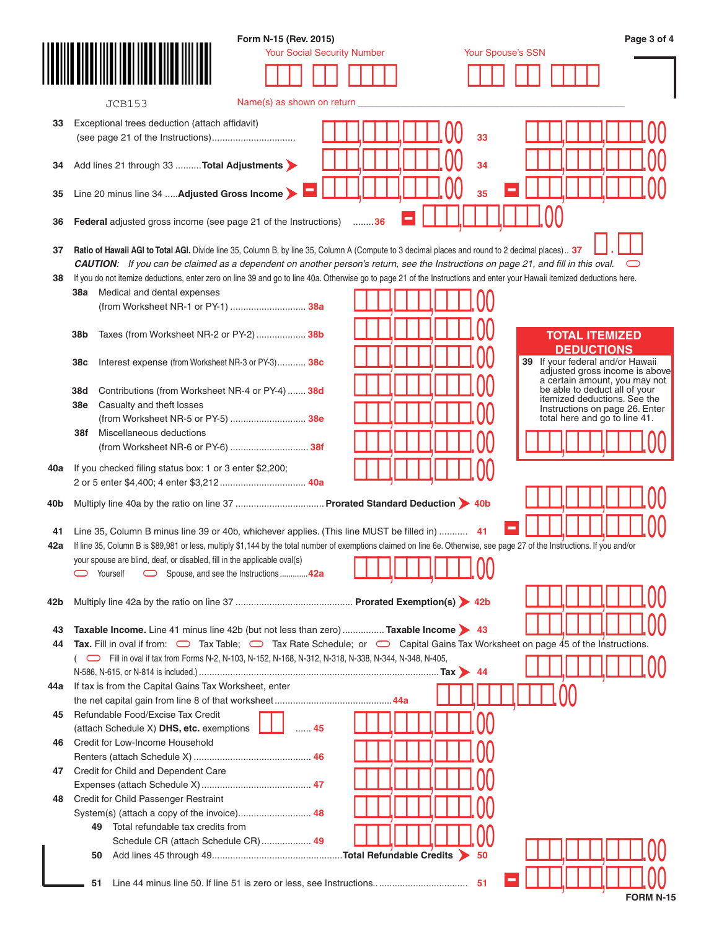|     | Form N-15 (Rev. 2015)                                                                                                                                                      | Page 3 of 4                                                     |
|-----|----------------------------------------------------------------------------------------------------------------------------------------------------------------------------|-----------------------------------------------------------------|
|     | <b>Your Social Security Number</b>                                                                                                                                         | Your Spouse's SSN                                               |
|     |                                                                                                                                                                            |                                                                 |
|     |                                                                                                                                                                            |                                                                 |
|     | Name(s) as shown on return<br><b>JCB153</b>                                                                                                                                |                                                                 |
|     |                                                                                                                                                                            |                                                                 |
| 33  | Exceptional trees deduction (attach affidavit)                                                                                                                             |                                                                 |
|     | 33                                                                                                                                                                         |                                                                 |
|     |                                                                                                                                                                            |                                                                 |
| 34  | Add lines 21 through 33  Total Adjustments<br>34                                                                                                                           |                                                                 |
|     |                                                                                                                                                                            |                                                                 |
| 35  | Line 20 minus line 34  Adjusted Gross Income<br>35                                                                                                                         |                                                                 |
|     |                                                                                                                                                                            |                                                                 |
| 36  | Federal adjusted gross income (see page 21 of the Instructions)<br>36                                                                                                      |                                                                 |
|     |                                                                                                                                                                            |                                                                 |
| 37  | Ratio of Hawaii AGI to Total AGI. Divide line 35, Column B, by line 35, Column A (Compute to 3 decimal places and round to 2 decimal places) 37                            |                                                                 |
|     | <b>CAUTION:</b> If you can be claimed as a dependent on another person's return, see the Instructions on page 21, and fill in this oval.                                   |                                                                 |
| 38  | If you do not itemize deductions, enter zero on line 39 and go to line 40a. Otherwise go to page 21 of the Instructions and enter your Hawaii itemized deductions here.    |                                                                 |
|     | Medical and dental expenses<br>38а                                                                                                                                         |                                                                 |
|     | (from Worksheet NR-1 or PY-1)  38a                                                                                                                                         |                                                                 |
|     |                                                                                                                                                                            |                                                                 |
|     | Taxes (from Worksheet NR-2 or PY-2)  38b<br>38b                                                                                                                            | <b>TOTAL ITEMIZED</b>                                           |
|     |                                                                                                                                                                            | <b>DEDUCTIONS</b>                                               |
|     | Interest expense (from Worksheet NR-3 or PY-3) 38c<br>38c                                                                                                                  | 39<br>If your federal and/or Hawaii                             |
|     |                                                                                                                                                                            | adjusted gross income is above<br>a certain amount, you may not |
|     | Contributions (from Worksheet NR-4 or PY-4)  38d<br>38d                                                                                                                    | be able to deduct all of your                                   |
|     | Casualty and theft losses<br>38e                                                                                                                                           | itemized deductions. See the                                    |
|     | (from Worksheet NR-5 or PY-5)  38e                                                                                                                                         | Instructions on page 26. Enter<br>total here and go to line 41. |
|     | Miscellaneous deductions<br>38f                                                                                                                                            |                                                                 |
|     |                                                                                                                                                                            |                                                                 |
|     |                                                                                                                                                                            |                                                                 |
| 40a | If you checked filing status box: 1 or 3 enter \$2,200;                                                                                                                    |                                                                 |
|     | 2 or 5 enter \$4,400; 4 enter \$3,212 40a                                                                                                                                  |                                                                 |
| 40b |                                                                                                                                                                            |                                                                 |
|     |                                                                                                                                                                            |                                                                 |
| 41  | Line 35, Column B minus line 39 or 40b, whichever applies. (This line MUST be filled in)  41                                                                               |                                                                 |
| 42a | If line 35, Column B is \$89,981 or less, multiply \$1,144 by the total number of exemptions claimed on line 6e. Otherwise, see page 27 of the Instructions. If you and/or |                                                                 |
|     | your spouse are blind, deaf, or disabled, fill in the applicable oval(s)                                                                                                   |                                                                 |
|     |                                                                                                                                                                            |                                                                 |
|     | Yourself<br>Spouse, and see the Instructions42a                                                                                                                            |                                                                 |
|     |                                                                                                                                                                            |                                                                 |
| 42b |                                                                                                                                                                            |                                                                 |
|     |                                                                                                                                                                            |                                                                 |
| 43  | Taxable Income. Line 41 minus line 42b (but not less than zero)  Taxable Income > 43                                                                                       |                                                                 |
| 44  | Tax Fill in oval if from: $\Box$ Tax Table; $\Box$ Tax Rate Schedule; or $\Box$ Capital Gains Tax Worksheet on page 45 of the Instructions.                                |                                                                 |
|     | (CDFill in oval if tax from Forms N-2, N-103, N-152, N-168, N-312, N-318, N-338, N-344, N-348, N-405,                                                                      |                                                                 |
|     |                                                                                                                                                                            |                                                                 |
| 44a | If tax is from the Capital Gains Tax Worksheet, enter                                                                                                                      |                                                                 |
|     |                                                                                                                                                                            |                                                                 |
| 45  | Refundable Food/Excise Tax Credit                                                                                                                                          |                                                                 |
|     | (attach Schedule X) DHS, etc. exemptions<br>45                                                                                                                             |                                                                 |
| 46  | Credit for Low-Income Household                                                                                                                                            |                                                                 |
|     |                                                                                                                                                                            |                                                                 |
| 47  | Credit for Child and Dependent Care                                                                                                                                        |                                                                 |
|     |                                                                                                                                                                            |                                                                 |
| 48  | Credit for Child Passenger Restraint                                                                                                                                       |                                                                 |
|     |                                                                                                                                                                            |                                                                 |
|     | Total refundable tax credits from<br>49.                                                                                                                                   |                                                                 |
|     | Schedule CR (attach Schedule CR)  49                                                                                                                                       |                                                                 |
|     | 50<br>50                                                                                                                                                                   |                                                                 |
|     |                                                                                                                                                                            |                                                                 |
|     | 51                                                                                                                                                                         |                                                                 |
|     |                                                                                                                                                                            | <b>FORM N-15</b>                                                |